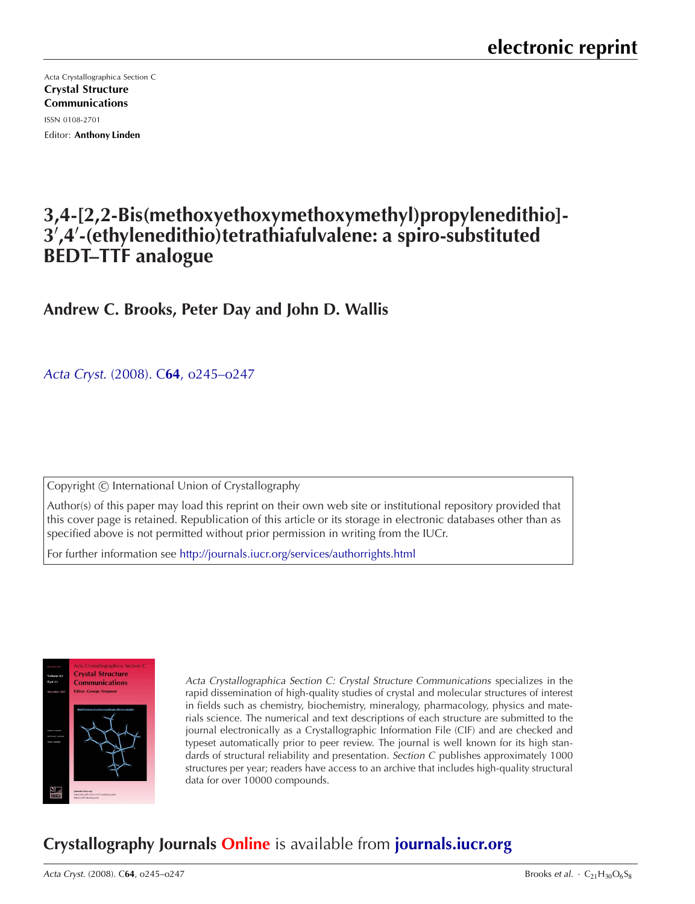Acta Crystallographica Section C [Crystal Structure](http://journals.iucr.org/c/) Communications ISSN 0108-2701 Editor: Anthony Linden

# **3,4-[2,2-Bis(methoxyethoxymethoxymethyl)propylenedithio]- 3**- **,4**- **-(ethylenedithio)tetrathiafulvalene: a spiro-substituted BEDT–TTF analogue**

## **Andrew C. Brooks, Peter Day and John D. Wallis**

Acta Cryst. (2008). C**64**[, o245–o247](http://dx.doi.org/10.1107/S0108270108005933)

Copyright C International Union of Crystallography

Author(s) of this paper may load this reprint on their own web site or institutional repository provided that this cover page is retained. Republication of this article or its storage in electronic databases other than as specified above is not permitted without prior permission in writing from the IUCr.

For further information see <http://journals.iucr.org/services/authorrights.html>



Acta Crystallographica Section C: Crystal Structure Communications specializes in the rapid dissemination of high-quality studies of crystal and molecular structures of interest in fields such as chemistry, biochemistry, mineralogy, pharmacology, physics and materials science. The numerical and text descriptions of each structure are submitted to the journal electronically as a Crystallographic Information File (CIF) and are checked and typeset automatically prior to peer review. The journal is well known for its high standards of structural reliability and presentation. Section C publishes approximately 1000 structures per year; readers have access to an archive that includes high-quality structural data for over 10000 compounds.

# **Crystallography Journals Online** is available from **[journals.iucr.org](http://journals.iucr.org)**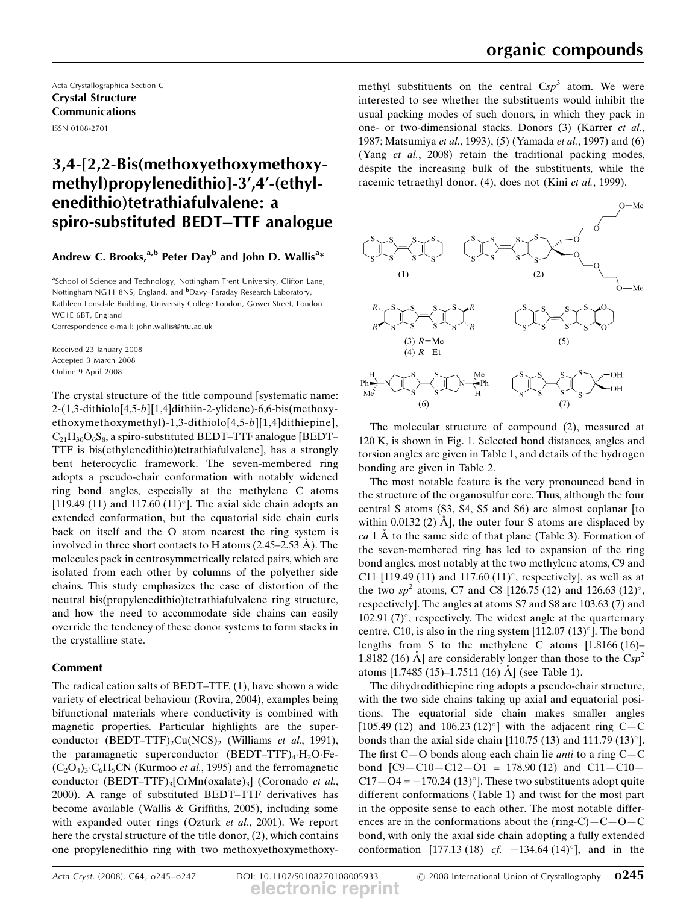Acta Crystallographica Section C **Crystal Structure Communications** ISSN 0108-2701

## 3,4-[2,2-Bis(methoxyethoxymethoxymethyl)propylenedithio]-3',4'-(ethylenedithio)tetrathiafulvalene: a spiro-substituted BEDT-TTF analogue

### Andrew C. Brooks,<sup>a,b</sup> Peter Day<sup>b</sup> and John D. Wallis<sup>a\*</sup>

<sup>a</sup>School of Science and Technology, Nottingham Trent University, Clifton Lane, Nottingham NG11 8NS, England, and <sup>b</sup>Davy-Faraday Research Laboratory, Kathleen Lonsdale Building, University College London, Gower Street, London WC1E 6BT, England

Correspondence e-mail: john.wallis@ntu.ac.uk

Received 23 January 2008 Accepted 3 March 2008 Online 9 April 2008

The crystal structure of the title compound [systematic name:  $2-(1,3-dithiolo[4,5-b][1,4]dthiin-2-ylidene)-6,6-bis(methoxy$ ethoxymethoxymethyl)-1,3-dithiolo[4,5-b][1,4]dithiepine],  $C_{21}H_{30}O_6S_8$ , a spiro-substituted BEDT-TTF analogue [BEDT-TTF is bis(ethylenedithio)tetrathiafulvalene], has a strongly bent heterocyclic framework. The seven-membered ring adopts a pseudo-chair conformation with notably widened ring bond angles, especially at the methylene C atoms [119.49 (11) and 117.60 (11) $^{\circ}$ ]. The axial side chain adopts an extended conformation, but the equatorial side chain curls back on itself and the O atom nearest the ring system is involved in three short contacts to H atoms  $(2.45-2.53 \text{ Å})$ . The molecules pack in centrosymmetrically related pairs, which are isolated from each other by columns of the polyether side chains. This study emphasizes the ease of distortion of the neutral bis(propylenedithio)tetrathiafulvalene ring structure, and how the need to accommodate side chains can easily override the tendency of these donor systems to form stacks in the crystalline state.

### **Comment**

The radical cation salts of BEDT-TTF,  $(1)$ , have shown a wide variety of electrical behaviour (Rovira, 2004), examples being bifunctional materials where conductivity is combined with magnetic properties. Particular highlights are the superconductor (BEDT-TTF)<sub>2</sub>Cu(NCS)<sub>2</sub> (Williams *et al.*, 1991), the paramagnetic superconductor  $(BEDT-TTF)_{4} \cdot H_{2}O \cdot Fe$  $(C_2O_4)_3$   $C_6H_5CN$  (Kurmoo *et al.*, 1995) and the ferromagnetic conductor (BEDT-TTF)<sub>3</sub>[CrMn(oxalate)<sub>3</sub>] (Coronado et al., 2000). A range of substituted BEDT-TTF derivatives has become available (Wallis & Griffiths, 2005), including some with expanded outer rings (Ozturk et al., 2001). We report here the crystal structure of the title donor, (2), which contains one propylenedithio ring with two methoxyethoxymethoxy-

methyl substituents on the central  $Csp<sup>3</sup>$  atom. We were interested to see whether the substituents would inhibit the usual packing modes of such donors, in which they pack in one- or two-dimensional stacks. Donors (3) (Karrer et al., 1987; Matsumiya et al., 1993), (5) (Yamada et al., 1997) and (6) (Yang et al., 2008) retain the traditional packing modes, despite the increasing bulk of the substituents, while the racemic tetraethyl donor, (4), does not (Kini et al., 1999).



The molecular structure of compound (2), measured at 120 K, is shown in Fig. 1. Selected bond distances, angles and torsion angles are given in Table 1, and details of the hydrogen bonding are given in Table 2.

The most notable feature is the very pronounced bend in the structure of the organosulfur core. Thus, although the four central S atoms (S3, S4, S5 and S6) are almost coplanar [to within 0.0132 (2)  $\AA$ , the outer four S atoms are displaced by ca 1  $\AA$  to the same side of that plane (Table 3). Formation of the seven-membered ring has led to expansion of the ring bond angles, most notably at the two methylene atoms, C9 and C11 [119.49 (11) and 117.60 (11)°, respectively], as well as at the two  $sp^2$  atoms, C7 and C8 [126.75 (12) and 126.63 (12)°, respectively]. The angles at atoms S7 and S8 are 103.63 (7) and 102.91  $(7)^\circ$ , respectively. The widest angle at the quarternary centre, C10, is also in the ring system [112.07  $(13)$ °]. The bond lengths from S to the methylene C atoms  $[1.8166(16) -$ 1.8182 (16) A] are considerably longer than those to the  $Csp^2$ atoms [1.7485 (15)–1.7511 (16) Å] (see Table 1).

The dihydrodithiepine ring adopts a pseudo-chair structure, with the two side chains taking up axial and equatorial positions. The equatorial side chain makes smaller angles [105.49 (12) and 106.23 (12)<sup>o</sup>] with the adjacent ring C-C bonds than the axial side chain [110.75 (13) and 111.79 (13) $^{\circ}$ ]. The first  $C-O$  bonds along each chain lie *anti* to a ring  $C-C$ bond  $[C9 - C10 - C12 - O1 = 178.90(12)$  and  $C11 - C10 C17 - O4 = -170.24 (13)$ <sup>o</sup>]. These two substituents adopt quite different conformations (Table 1) and twist for the most part in the opposite sense to each other. The most notable differences are in the conformations about the (ring-C) $-C-O-C$ bond, with only the axial side chain adopting a fully extended conformation [177.13 (18) *cf.*  $-134.64$  (14)<sup>o</sup>], and in the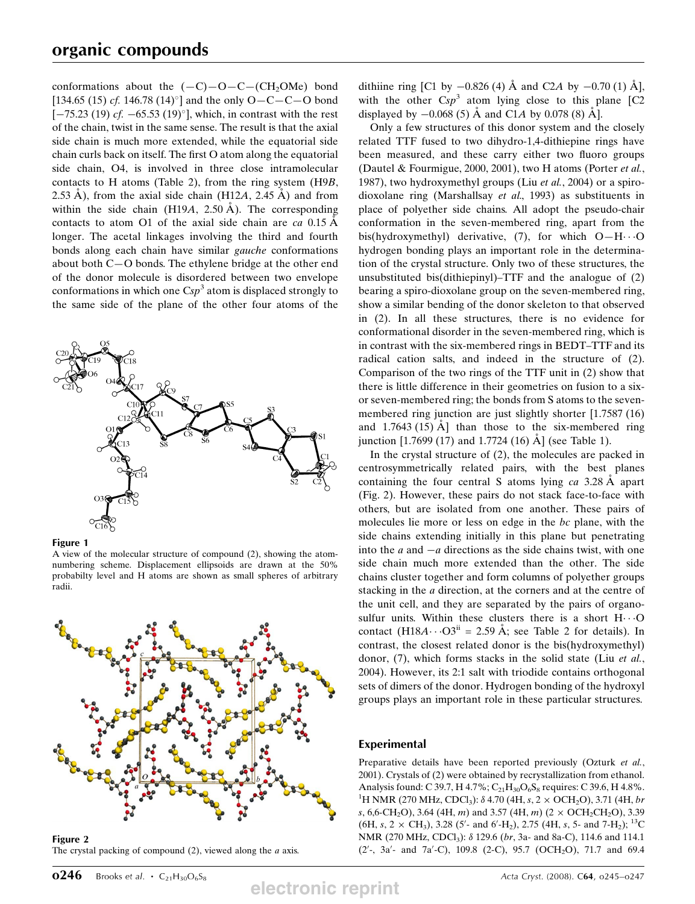conformations about the  $(-C)-O-C-(CH<sub>2</sub>OMe)$  bond [134.65 (15) *cf.* 146.78 (14)<sup>o</sup>] and the only O $-C-C-O$  bond  $[-75.23 (19) cf. -65.53 (19)$ , which, in contrast with the rest of the chain, twist in the same sense. The result is that the axial side chain is much more extended, while the equatorial side chain curls back on itself. The first O atom along the equatorial side chain. O4, is involved in three close intramolecular contacts to H atoms (Table 2), from the ring system  $(H9B,$ 2.53 Å), from the axial side chain (H12A, 2.45 Å) and from within the side chain (H19A, 2.50  $\AA$ ). The corresponding contacts to atom O1 of the axial side chain are ca  $0.15 \text{ Å}$ longer. The acetal linkages involving the third and fourth bonds along each chain have similar gauche conformations about both C-O bonds. The ethylene bridge at the other end of the donor molecule is disordered between two envelope conformations in which one  $Csp<sup>3</sup>$  atom is displaced strongly to the same side of the plane of the other four atoms of the



**Figure 1** 

A view of the molecular structure of compound (2), showing the atomnumbering scheme. Displacement ellipsoids are drawn at the 50% probabilty level and H atoms are shown as small spheres of arbitrary radii.



Figure 2 The crystal packing of compound  $(2)$ , viewed along the *a* axis.

electronic reprint

dithiine ring [C1 by  $-0.826$  (4) Å and C2A by  $-0.70$  (1) Å], with the other  $Csp^3$  atom lying close to this plane [C2 displayed by  $-0.068(5)$  Å and C1A by 0.078 (8) Å].

Only a few structures of this donor system and the closely related TTF fused to two dihydro-1,4-dithiepine rings have been measured, and these carry either two fluoro groups (Dautel & Fourmigue, 2000, 2001), two H atoms (Porter et al., 1987), two hydroxymethyl groups (Liu et al., 2004) or a spirodioxolane ring (Marshallsay et al., 1993) as substituents in place of polyether side chains. All adopt the pseudo-chair conformation in the seven-membered ring, apart from the bis(hydroxymethyl) derivative, (7), for which  $O-H \cdots O$ hydrogen bonding plays an important role in the determination of the crystal structure. Only two of these structures, the unsubstituted bis(dithiepinyl)–TTF and the analogue of  $(2)$ bearing a spiro-dioxolane group on the seven-membered ring, show a similar bending of the donor skeleton to that observed in (2). In all these structures, there is no evidence for conformational disorder in the seven-membered ring, which is in contrast with the six-membered rings in BEDT-TTF and its radical cation salts, and indeed in the structure of (2). Comparison of the two rings of the TTF unit in (2) show that there is little difference in their geometries on fusion to a sixor seven-membered ring; the bonds from S atoms to the sevenmembered ring junction are just slightly shorter [1.7587 (16) and  $1.7643(15)$  Å than those to the six-membered ring junction [1.7699 (17) and 1.7724 (16)  $\AA$ ] (see Table 1).

In the crystal structure of  $(2)$ , the molecules are packed in centrosymmetrically related pairs, with the best planes containing the four central S atoms lying  $ca$  3.28 Å apart (Fig. 2). However, these pairs do not stack face-to-face with others, but are isolated from one another. These pairs of molecules lie more or less on edge in the bc plane, with the side chains extending initially in this plane but penetrating into the  $a$  and  $-a$  directions as the side chains twist, with one side chain much more extended than the other. The side chains cluster together and form columns of polyether groups stacking in the  $a$  direction, at the corners and at the centre of the unit cell, and they are separated by the pairs of organosulfur units. Within these clusters there is a short H.O contact  $(H18A \cdots O3^{ii} = 2.59 \text{ Å}$ ; see Table 2 for details). In contrast, the closest related donor is the bis(hydroxymethyl) donor, (7), which forms stacks in the solid state (Liu et al., 2004). However, its 2:1 salt with triodide contains orthogonal sets of dimers of the donor. Hydrogen bonding of the hydroxyl groups plays an important role in these particular structures.

### **Experimental**

Preparative details have been reported previously (Ozturk et al., 2001). Crystals of (2) were obtained by recrystallization from ethanol. Analysis found: C 39.7, H 4.7%; C<sub>21</sub>H<sub>30</sub>O<sub>6</sub>S<sub>8</sub> requires: C 39.6, H 4.8%. <sup>1</sup>H NMR (270 MHz, CDCl<sub>3</sub>):  $\delta$  4.70 (4H, s, 2  $\times$  OCH<sub>2</sub>O), 3.71 (4H, br s, 6,6-CH<sub>2</sub>O), 3.64 (4H, m) and 3.57 (4H, m) (2  $\times$  OCH<sub>2</sub>CH<sub>2</sub>O), 3.39 (6H, s, 2  $\times$  CH<sub>3</sub>), 3.28 (5'- and 6'-H<sub>2</sub>), 2.75 (4H, s, 5- and 7-H<sub>2</sub>); <sup>13</sup>C NMR (270 MHz, CDCl<sub>3</sub>): δ 129.6 (br, 3a- and 8a-C), 114.6 and 114.1 (2'-, 3a'- and 7a'-C), 109.8 (2-C), 95.7 (OCH<sub>2</sub>O), 71.7 and 69.4